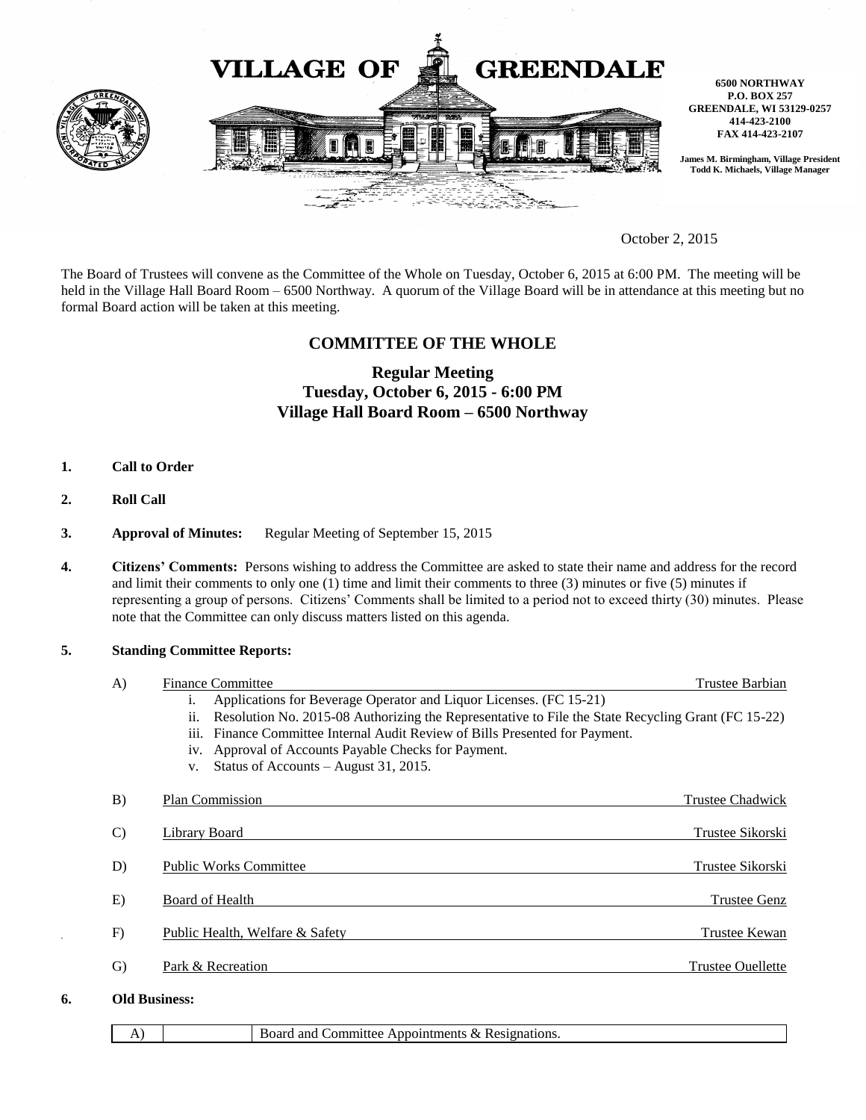

October 2, 2015

The Board of Trustees will convene as the Committee of the Whole on Tuesday, October 6, 2015 at 6:00 PM. The meeting will be held in the Village Hall Board Room – 6500 Northway. A quorum of the Village Board will be in attendance at this meeting but no formal Board action will be taken at this meeting.

## **COMMITTEE OF THE WHOLE**

# **Regular Meeting Tuesday, October 6, 2015 - 6:00 PM Village Hall Board Room – 6500 Northway**

- **1. Call to Order**
- **2. Roll Call**
- **3. Approval of Minutes:** Regular Meeting of September 15, 2015
- **4. Citizens' Comments:** Persons wishing to address the Committee are asked to state their name and address for the record and limit their comments to only one (1) time and limit their comments to three (3) minutes or five (5) minutes if representing a group of persons. Citizens' Comments shall be limited to a period not to exceed thirty (30) minutes. Please note that the Committee can only discuss matters listed on this agenda.

#### **5. Standing Committee Reports:**

| A)            |                      | <b>Finance Committee</b>                                                                                                         | Trustee Barbian     |
|---------------|----------------------|----------------------------------------------------------------------------------------------------------------------------------|---------------------|
|               |                      | Applications for Beverage Operator and Liquor Licenses. (FC 15-21)<br>1.                                                         |                     |
|               |                      | Resolution No. 2015-08 Authorizing the Representative to File the State Recycling Grant (FC 15-22)<br>$\overline{\mathbf{11}}$ . |                     |
|               |                      | iii.<br>Finance Committee Internal Audit Review of Bills Presented for Payment.                                                  |                     |
|               |                      | iv. Approval of Accounts Payable Checks for Payment.                                                                             |                     |
|               |                      | Status of Accounts – August 31, 2015.<br>V.                                                                                      |                     |
| B)            |                      | <b>Plan Commission</b>                                                                                                           | Trustee Chadwick    |
| $\mathcal{C}$ |                      | Library Board                                                                                                                    | Trustee Sikorski    |
| D)            |                      | <b>Public Works Committee</b>                                                                                                    | Trustee Sikorski    |
| E)            |                      | Board of Health                                                                                                                  | <b>Trustee Genz</b> |
| F)            |                      | Public Health, Welfare & Safety                                                                                                  | Trustee Kewan       |
| G)            |                      | Park & Recreation                                                                                                                | Trustee Ouellette   |
| 6.            | <b>Old Business:</b> |                                                                                                                                  |                     |

A) Board and Committee Appointments & Resignations.